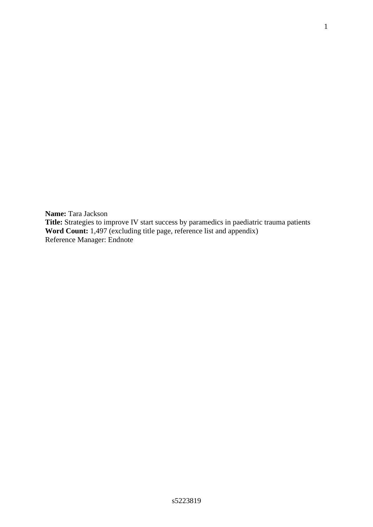**Name:** Tara Jackson **Title:** Strategies to improve IV start success by paramedics in paediatric trauma patients **Word Count:** 1,497 (excluding title page, reference list and appendix) Reference Manager: Endnote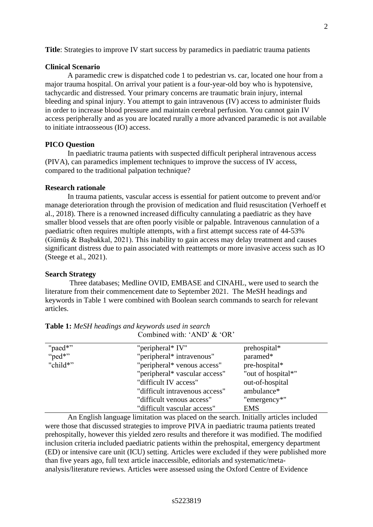**Title**: Strategies to improve IV start success by paramedics in paediatric trauma patients

#### **Clinical Scenario**

A paramedic crew is dispatched code 1 to pedestrian vs. car, located one hour from a major trauma hospital. On arrival your patient is a four-year-old boy who is hypotensive, tachycardic and distressed. Your primary concerns are traumatic brain injury, internal bleeding and spinal injury. You attempt to gain intravenous (IV) access to administer fluids in order to increase blood pressure and maintain cerebral perfusion. You cannot gain IV access peripherally and as you are located rurally a more advanced paramedic is not available to initiate intraosseous (IO) access.

# **PICO Question**

In paediatric trauma patients with suspected difficult peripheral intravenous access (PIVA), can paramedics implement techniques to improve the success of IV access, compared to the traditional palpation technique?

# **Research rationale**

In trauma patients, vascular access is essential for patient outcome to prevent and/or manage deterioration through the provision of medication and fluid resuscitation (Verhoeff et al., 2018). There is a renowned increased difficulty cannulating a paediatric as they have smaller blood vessels that are often poorly visible or palpable. Intravenous cannulation of a paediatric often requires multiple attempts, with a first attempt success rate of 44-53% (Gümüş & Başbakkal, 2021). This inability to gain access may delay treatment and causes significant distress due to pain associated with reattempts or more invasive access such as IO (Steege et al., 2021).

#### **Search Strategy**

Three databases; Medline OVID, EMBASE and CINAHL, were used to search the literature from their commencement date to September 2021. The MeSH headings and keywords in Table 1 were combined with Boolean search commands to search for relevant articles.

| "paed*"  | "peripheral* IV"               | prehospital*       |
|----------|--------------------------------|--------------------|
| "ped*"   | "peripheral* intravenous"      | paramed*           |
| "child*" | "peripheral* venous access"    | pre-hospital*      |
|          | "peripheral* vascular access"  | "out of hospital*" |
|          | "difficult IV access"          | out-of-hospital    |
|          | "difficult intravenous access" | ambulance*         |
|          | "difficult venous access"      | "emergency*"       |
|          | "difficult vascular access"    | <b>EMS</b>         |

| <b>Table 1:</b> MeSH headings and keywords used in search |  |
|-----------------------------------------------------------|--|
| Combined with: 'AND' & 'OR'                               |  |

An English language limitation was placed on the search. Initially articles included were those that discussed strategies to improve PIVA in paediatric trauma patients treated prehospitally, however this yielded zero results and therefore it was modified. The modified inclusion criteria included paediatric patients within the prehospital, emergency department (ED) or intensive care unit (ICU) setting. Articles were excluded if they were published more than five years ago, full text article inaccessible, editorials and systematic/metaanalysis/literature reviews. Articles were assessed using the Oxford Centre of Evidence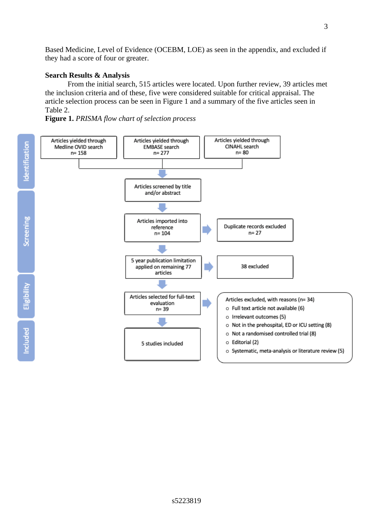Based Medicine, Level of Evidence (OCEBM, LOE) as seen in the appendix, and excluded if they had a score of four or greater.

# **Search Results & Analysis**

From the initial search, 515 articles were located. Upon further review, 39 articles met the inclusion criteria and of these, five were considered suitable for critical appraisal. The article selection process can be seen in Figure 1 and a summary of the five articles seen in Table 2.

**Figure 1.** *PRISMA flow chart of selection process*

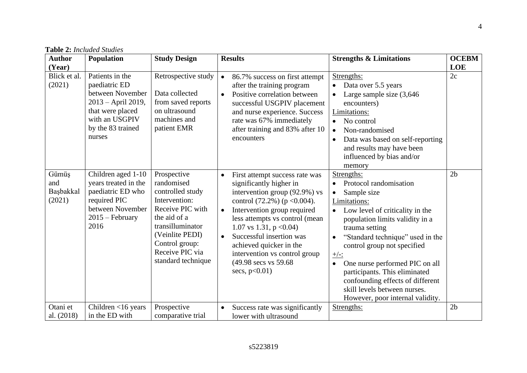| <b>Author</b>                       | <b>Population</b>                                                                                                                               | <b>Study Design</b>                                                                                                                                                                                  | <b>Results</b>                                                                                                                                                                                                                                                                                                                                                                                           | <b>Strengths &amp; Limitations</b>                                                                                                                                                                                                                                                                                                                                                                                                            | <b>OCEBM</b>   |
|-------------------------------------|-------------------------------------------------------------------------------------------------------------------------------------------------|------------------------------------------------------------------------------------------------------------------------------------------------------------------------------------------------------|----------------------------------------------------------------------------------------------------------------------------------------------------------------------------------------------------------------------------------------------------------------------------------------------------------------------------------------------------------------------------------------------------------|-----------------------------------------------------------------------------------------------------------------------------------------------------------------------------------------------------------------------------------------------------------------------------------------------------------------------------------------------------------------------------------------------------------------------------------------------|----------------|
| (Year)                              |                                                                                                                                                 |                                                                                                                                                                                                      |                                                                                                                                                                                                                                                                                                                                                                                                          |                                                                                                                                                                                                                                                                                                                                                                                                                                               | <b>LOE</b>     |
| Blick et al.<br>(2021)              | Patients in the<br>paediatric ED<br>between November<br>2013 – April 2019,<br>that were placed<br>with an USGPIV<br>by the 83 trained<br>nurses | Retrospective study<br>Data collected<br>from saved reports<br>on ultrasound<br>machines and<br>patient EMR                                                                                          | 86.7% success on first attempt<br>$\bullet$<br>after the training program<br>Positive correlation between<br>$\bullet$<br>successful USGPIV placement<br>and nurse experience. Success<br>rate was 67% immediately<br>after training and 83% after 10<br>encounters                                                                                                                                      | Strengths:<br>Data over 5.5 years<br>Large sample size $(3,646)$<br>$\bullet$<br>encounters)<br>Limitations:<br>No control<br>Non-randomised<br>$\bullet$<br>Data was based on self-reporting<br>$\bullet$<br>and results may have been<br>influenced by bias and/or<br>memory                                                                                                                                                                | 2c             |
| Gümüş<br>and<br>Başbakkal<br>(2021) | Children aged 1-10<br>years treated in the<br>paediatric ED who<br>required PIC<br>between November<br>$2015$ – February<br>2016                | Prospective<br>randomised<br>controlled study<br>Intervention:<br>Receive PIC with<br>the aid of a<br>transilluminator<br>(Veinlite PEDI)<br>Control group:<br>Receive PIC via<br>standard technique | First attempt success rate was<br>$\bullet$<br>significantly higher in<br>intervention group (92.9%) vs<br>control $(72.2\%)$ (p < 0.004).<br>Intervention group required<br>$\bullet$<br>less attempts vs control (mean<br>1.07 vs 1.31, $p < 0.04$ )<br>Successful insertion was<br>$\bullet$<br>achieved quicker in the<br>intervention vs control group<br>(49.98 secs vs 59.68)<br>secs, $p<0.01$ ) | Strengths:<br>Protocol randomisation<br>Sample size<br>Limitations:<br>Low level of criticality in the<br>population limits validity in a<br>trauma setting<br>"Standard technique" used in the<br>$\bullet$<br>control group not specified<br>$+/-:$<br>One nurse performed PIC on all<br>$\bullet$<br>participants. This eliminated<br>confounding effects of different<br>skill levels between nurses.<br>However, poor internal validity. | 2 <sub>b</sub> |
| Otani et                            | Children <16 years                                                                                                                              | Prospective                                                                                                                                                                                          | Success rate was significantly                                                                                                                                                                                                                                                                                                                                                                           | Strengths:                                                                                                                                                                                                                                                                                                                                                                                                                                    | 2 <sub>b</sub> |
| al. (2018)                          | in the ED with                                                                                                                                  | comparative trial                                                                                                                                                                                    | lower with ultrasound                                                                                                                                                                                                                                                                                                                                                                                    |                                                                                                                                                                                                                                                                                                                                                                                                                                               |                |

# **Table 2:** *Included Studies*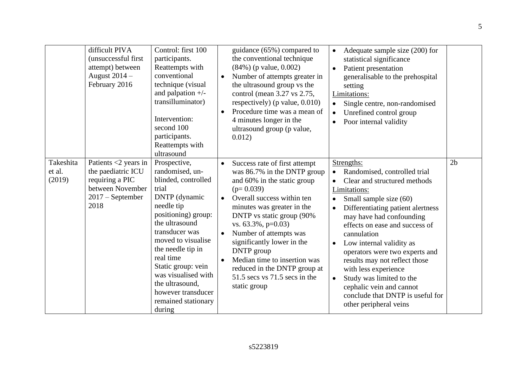|                               | difficult PIVA<br>(unsuccessful first<br>attempt) between<br>August 2014 -<br>February 2016                        | Control: first 100<br>participants.<br>Reattempts with<br>conventional<br>technique (visual<br>and palpation $+/-$<br>transilluminator)<br>Intervention:<br>second 100<br>participants.<br>Reattempts with<br>ultrasound                                                                                                                 | $\bullet$<br>$\bullet$                           | guidance (65%) compared to<br>the conventional technique<br>$(84\%)$ (p value, 0.002)<br>Number of attempts greater in<br>the ultrasound group vs the<br>control (mean 3.27 vs 2.75,<br>respectively) ( $p$ value, $0.010$ )<br>Procedure time was a mean of<br>4 minutes longer in the<br>ultrasound group (p value,<br>0.012)                                                                                       | $\bullet$<br>$\bullet$<br>$\bullet$<br>$\bullet$<br>$\bullet$              | Adequate sample size (200) for<br>statistical significance<br>Patient presentation<br>generalisable to the prehospital<br>setting<br>Limitations:<br>Single centre, non-randomised<br>Unrefined control group<br>Poor internal validity                                                                                                                                                                                                                                             |                |
|-------------------------------|--------------------------------------------------------------------------------------------------------------------|------------------------------------------------------------------------------------------------------------------------------------------------------------------------------------------------------------------------------------------------------------------------------------------------------------------------------------------|--------------------------------------------------|-----------------------------------------------------------------------------------------------------------------------------------------------------------------------------------------------------------------------------------------------------------------------------------------------------------------------------------------------------------------------------------------------------------------------|----------------------------------------------------------------------------|-------------------------------------------------------------------------------------------------------------------------------------------------------------------------------------------------------------------------------------------------------------------------------------------------------------------------------------------------------------------------------------------------------------------------------------------------------------------------------------|----------------|
| Takeshita<br>et al.<br>(2019) | Patients $<$ 2 years in<br>the paediatric ICU<br>requiring a PIC<br>between November<br>$2017 - September$<br>2018 | Prospective,<br>randomised, un-<br>blinded, controlled<br>trial<br>DNTP (dynamic<br>needle tip<br>positioning) group:<br>the ultrasound<br>transducer was<br>moved to visualise<br>the needle tip in<br>real time<br>Static group: vein<br>was visualised with<br>the ultrasound,<br>however transducer<br>remained stationary<br>during | $\bullet$<br>$\bullet$<br>$\bullet$<br>$\bullet$ | Success rate of first attempt<br>was 86.7% in the DNTP group<br>and 60% in the static group<br>$(p=0.039)$<br>Overall success within ten<br>minutes was greater in the<br>DNTP vs static group (90%)<br>vs. 63.3%, p=0.03)<br>Number of attempts was<br>significantly lower in the<br>DNTP group<br>Median time to insertion was<br>reduced in the DNTP group at<br>$51.5$ secs vs $71.5$ secs in the<br>static group | $\bullet$<br>$\bullet$<br>$\bullet$<br>$\bullet$<br>$\bullet$<br>$\bullet$ | Strengths:<br>Randomised, controlled trial<br>Clear and structured methods<br>Limitations:<br>Small sample size (60)<br>Differentiating patient alertness<br>may have had confounding<br>effects on ease and success of<br>cannulation<br>Low internal validity as<br>operators were two experts and<br>results may not reflect those<br>with less experience<br>Study was limited to the<br>cephalic vein and cannot<br>conclude that DNTP is useful for<br>other peripheral veins | 2 <sub>b</sub> |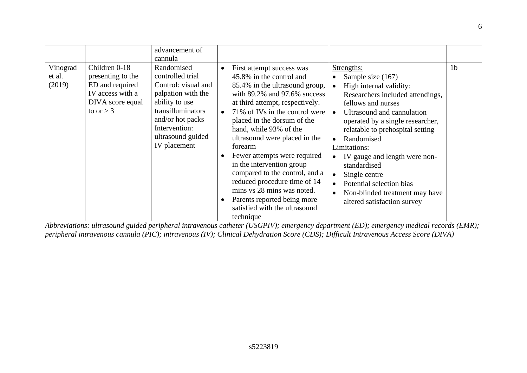|                              |                                                                                                              | advancement of<br>cannula                                                                                                                                                                    |                                     |                                                                                                                                                                                                                                                                                                                                                                                                                                                                                                                                                   |                                                                                                                                                                                                                                                                                                                                                                                                                                                                |                |
|------------------------------|--------------------------------------------------------------------------------------------------------------|----------------------------------------------------------------------------------------------------------------------------------------------------------------------------------------------|-------------------------------------|---------------------------------------------------------------------------------------------------------------------------------------------------------------------------------------------------------------------------------------------------------------------------------------------------------------------------------------------------------------------------------------------------------------------------------------------------------------------------------------------------------------------------------------------------|----------------------------------------------------------------------------------------------------------------------------------------------------------------------------------------------------------------------------------------------------------------------------------------------------------------------------------------------------------------------------------------------------------------------------------------------------------------|----------------|
| Vinograd<br>et al.<br>(2019) | Children 0-18<br>presenting to the<br>ED and required<br>IV access with a<br>DIVA score equal<br>to or $>$ 3 | Randomised<br>controlled trial<br>Control: visual and<br>palpation with the<br>ability to use<br>transilluminators<br>and/or hot packs<br>Intervention:<br>ultrasound guided<br>IV placement | $\bullet$<br>$\bullet$<br>$\bullet$ | First attempt success was<br>45.8% in the control and<br>85.4% in the ultrasound group,<br>with $89.2\%$ and $97.6\%$ success<br>at third attempt, respectively.<br>71% of IVs in the control were<br>placed in the dorsum of the<br>hand, while 93% of the<br>ultrasound were placed in the<br>forearm<br>Fewer attempts were required<br>in the intervention group<br>compared to the control, and a<br>reduced procedure time of 14<br>mins vs 28 mins was noted.<br>Parents reported being more<br>satisfied with the ultrasound<br>technique | Strengths:<br>Sample size (167)<br>High internal validity:<br>Researchers included attendings,<br>fellows and nurses<br>Ultrasound and cannulation<br>$\bullet$<br>operated by a single researcher,<br>relatable to prehospital setting<br>Randomised<br>$\bullet$<br>Limitations:<br>IV gauge and length were non-<br>standardised<br>Single centre<br>$\bullet$<br>Potential selection bias<br>Non-blinded treatment may have<br>altered satisfaction survey | 1 <sub>b</sub> |

*Abbreviations: ultrasound guided peripheral intravenous catheter (USGPIV); emergency department (ED); emergency medical records (EMR); peripheral intravenous cannula (PIC); intravenous (IV); Clinical Dehydration Score (CDS); Difficult Intravenous Access Score (DIVA)*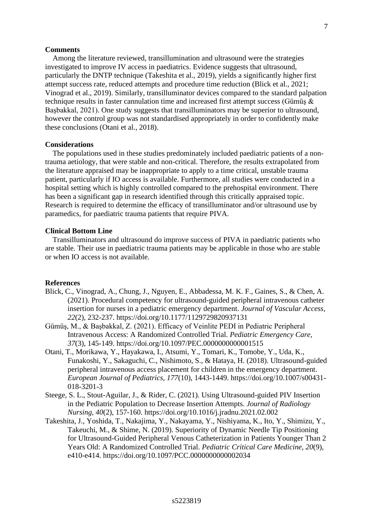### **Comments**

Among the literature reviewed, transillumination and ultrasound were the strategies investigated to improve IV access in paediatrics. Evidence suggests that ultrasound, particularly the DNTP technique (Takeshita et al., 2019), yields a significantly higher first attempt success rate, reduced attempts and procedure time reduction (Blick et al., 2021; Vinograd et al., 2019). Similarly, transilluminator devices compared to the standard palpation technique results in faster cannulation time and increased first attempt success (Gümüs  $\&$ Başbakkal, 2021). One study suggests that transilluminators may be superior to ultrasound, however the control group was not standardised appropriately in order to confidently make these conclusions (Otani et al., 2018).

#### **Considerations**

The populations used in these studies predominately included paediatric patients of a nontrauma aetiology, that were stable and non-critical. Therefore, the results extrapolated from the literature appraised may be inappropriate to apply to a time critical, unstable trauma patient, particularly if IO access is available. Furthermore, all studies were conducted in a hospital setting which is highly controlled compared to the prehospital environment. There has been a significant gap in research identified through this critically appraised topic. Research is required to determine the efficacy of transilluminator and/or ultrasound use by paramedics, for paediatric trauma patients that require PIVA.

# **Clinical Bottom Line**

Transilluminators and ultrasound do improve success of PIVA in paediatric patients who are stable. Their use in paediatric trauma patients may be applicable in those who are stable or when IO access is not available.

#### **References**

- Blick, C., Vinograd, A., Chung, J., Nguyen, E., Abbadessa, M. K. F., Gaines, S., & Chen, A. (2021). Procedural competency for ultrasound-guided peripheral intravenous catheter insertion for nurses in a pediatric emergency department. *Journal of Vascular Access, 22*(2), 232-237. https://doi.org/10.1177/1129729820937131
- Gümüş, M., & Başbakkal, Z. (2021). Efficacy of Veinlite PEDI in Pediatric Peripheral Intravenous Access: A Randomized Controlled Trial. *Pediatric Emergency Care, 37*(3), 145-149. https://doi.org/10.1097/PEC.0000000000001515
- Otani, T., Morikawa, Y., Hayakawa, I., Atsumi, Y., Tomari, K., Tomobe, Y., Uda, K., Funakoshi, Y., Sakaguchi, C., Nishimoto, S., & Hataya, H. (2018). Ultrasound-guided peripheral intravenous access placement for children in the emergency department. *European Journal of Pediatrics, 177*(10), 1443-1449. https://doi.org/10.1007/s00431- 018-3201-3
- Steege, S. L., Stout-Aguilar, J., & Rider, C. (2021). Using Ultrasound-guided PIV Insertion in the Pediatric Population to Decrease Insertion Attempts. *Journal of Radiology Nursing, 40*(2), 157-160. https://doi.org/10.1016/j.jradnu.2021.02.002
- Takeshita, J., Yoshida, T., Nakajima, Y., Nakayama, Y., Nishiyama, K., Ito, Y., Shimizu, Y., Takeuchi, M., & Shime, N. (2019). Superiority of Dynamic Needle Tip Positioning for Ultrasound-Guided Peripheral Venous Catheterization in Patients Younger Than 2 Years Old: A Randomized Controlled Trial. *Pediatric Critical Care Medicine, 20*(9), e410-e414. https://doi.org/10.1097/PCC.0000000000002034